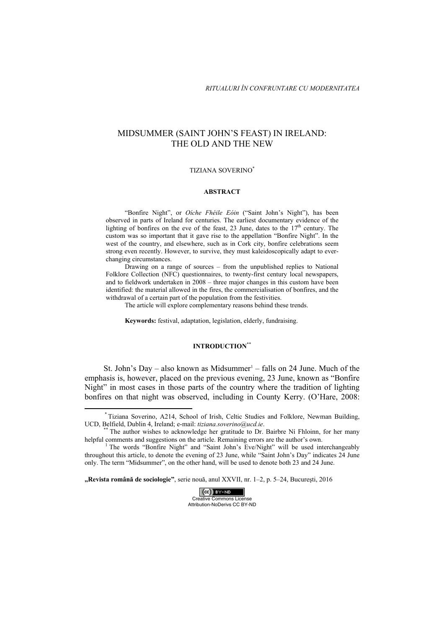# MIDSUMMER (SAINT JOHN'S FEAST) IN IRELAND: THE OLD AND THE NEW

# TIZIANA SOVERINO\*

### **ABSTRACT**

"Bonfire Night", or *Oíche Fhéile Eóin* ("Saint John's Night"), has been observed in parts of Ireland for centuries. The earliest documentary evidence of the lighting of bonfires on the eve of the feast, 23 June, dates to the  $17<sup>th</sup>$  century. The custom was so important that it gave rise to the appellation "Bonfire Night". In the west of the country, and elsewhere, such as in Cork city, bonfire celebrations seem strong even recently. However, to survive, they must kaleidoscopically adapt to everchanging circumstances.

Drawing on a range of sources – from the unpublished replies to National Folklore Collection (NFC) questionnaires, to twenty-first century local newspapers, and to fieldwork undertaken in 2008 – three major changes in this custom have been identified: the material allowed in the fires, the commercialisation of bonfires, and the withdrawal of a certain part of the population from the festivities.

The article will explore complementary reasons behind these trends.

**Keywords:** festival, adaptation, legislation, elderly, fundraising.

### **INTRODUCTION**\*\*

St. John's Day – also known as Midsummer<sup>1</sup> – falls on 24 June. Much of the emphasis is, however, placed on the previous evening, 23 June, known as "Bonfire Night" in most cases in those parts of the country where the tradition of lighting bonfires on that night was observed, including in County Kerry. (O'Hare, 2008:

**"Revista română de sociologie"**, serie nouă, anul XXVII, nr. 1–2, p. 5–24, Bucureşti, 2016



 \* Tiziana Soverino, A214, School of Irish, Celtic Studies and Folklore, Newman Building, UCD, Belfield, Dublin 4, Ireland; e-mail: *tiziana.soverino@ucd.ie*.<br>\*\* The author wishes to acknowledge her gratitude to Dr. Bairbre Ní Fhloinn, for her many

helpful comments and suggestions on the article. Remaining errors are the author's own.

<sup>&</sup>lt;sup>1</sup> The words "Bonfire Night" and "Saint John's Eve/Night" will be used interchangeably throughout this article, to denote the evening of 23 June, while "Saint John's Day" indicates 24 June only. The term "Midsummer", on the other hand, will be used to denote both 23 and 24 June.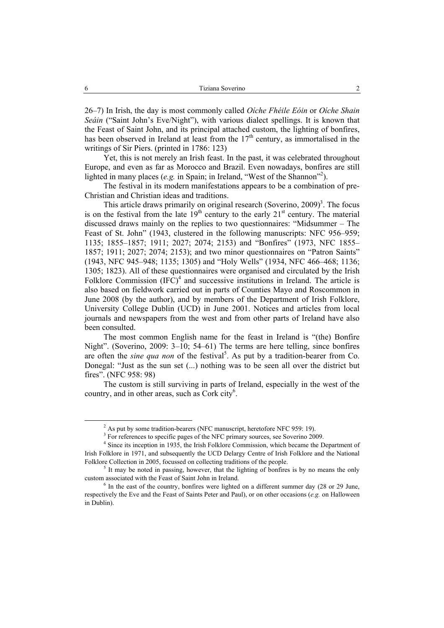26–7) In Irish, the day is most commonly called *Oíche Fhéile Eóin* or *Oíche Shain Seáin* ("Saint John's Eve/Night"), with various dialect spellings. It is known that the Feast of Saint John, and its principal attached custom, the lighting of bonfires, has been observed in Ireland at least from the  $17<sup>th</sup>$  century, as immortalised in the writings of Sir Piers. (printed in 1786: 123)

Yet, this is not merely an Irish feast. In the past, it was celebrated throughout Europe, and even as far as Morocco and Brazil. Even nowadays, bonfires are still lighted in many places (e.g. in Spain; in Ireland, "West of the Shannon"<sup>2</sup>).

The festival in its modern manifestations appears to be a combination of pre-Christian and Christian ideas and traditions.

This article draws primarily on original research (Soverino,  $2009$ )<sup>3</sup>. The focus is on the festival from the late  $19<sup>th</sup>$  century to the early  $21<sup>st</sup>$  century. The material discussed draws mainly on the replies to two questionnaires: "Midsummer – The Feast of St. John" (1943, clustered in the following manuscripts: NFC 956–959; 1135; 1855–1857; 1911; 2027; 2074; 2153) and "Bonfires" (1973, NFC 1855– 1857; 1911; 2027; 2074; 2153); and two minor questionnaires on "Patron Saints" (1943, NFC 945–948; 1135; 1305) and "Holy Wells" (1934, NFC 466–468; 1136; 1305; 1823). All of these questionnaires were organised and circulated by the Irish Folklore Commission  $(IF\hat{C})^4$  and successive institutions in Ireland. The article is also based on fieldwork carried out in parts of Counties Mayo and Roscommon in June 2008 (by the author), and by members of the Department of Irish Folklore, University College Dublin (UCD) in June 2001. Notices and articles from local journals and newspapers from the west and from other parts of Ireland have also been consulted.

The most common English name for the feast in Ireland is "(the) Bonfire Night". (Soverino, 2009: 3–10; 54–61) The terms are here telling, since bonfires are often the *sine qua non* of the festival<sup>5</sup>. As put by a tradition-bearer from Co. Donegal: "Just as the sun set (...) nothing was to be seen all over the district but fires". (NFC 958: 98)

The custom is still surviving in parts of Ireland, especially in the west of the country, and in other areas, such as Cork city<sup>6</sup>.

<sup>&</sup>lt;sup>2</sup> As put by some tradition-bearers (NFC manuscript, heretofore NFC 959: 19).

<sup>&</sup>lt;sup>3</sup> For references to specific pages of the NFC primary sources, see Soverino 2009.

<sup>&</sup>lt;sup>4</sup> Since its inception in 1935, the Irish Folklore Commission, which became the Department of Irish Folklore in 1971, and subsequently the UCD Delargy Centre of Irish Folklore and the National Folklore Collection in 2005, focussed on collecting traditions of the people.

 $<sup>5</sup>$  It may be noted in passing, however, that the lighting of bonfires is by no means the only</sup> custom associated with the Feast of Saint John in Ireland.

 $6$  In the east of the country, bonfires were lighted on a different summer day (28 or 29 June, respectively the Eve and the Feast of Saints Peter and Paul), or on other occasions (*e.g.* on Halloween in Dublin).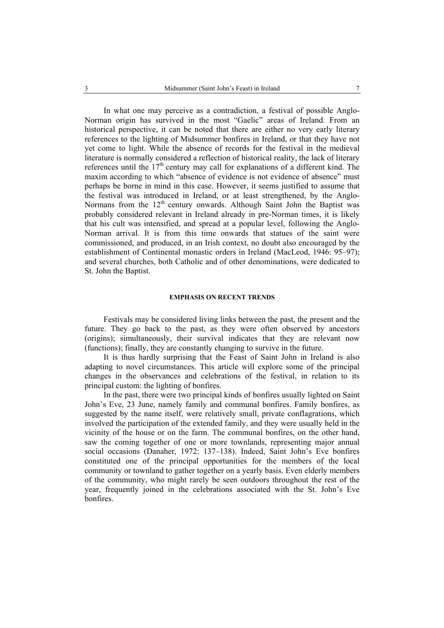In what one may perceive as a contradiction, a festival of possible Anglo-Norman origin has survived in the most "Gaelic" areas of Ireland. From an historical perspective, it can be noted that there are either no very early literary references to the lighting of Midsummer bonfires in Ireland, or that they have not yet come to light. While the absence of records for the festival in the medieval literature is normally considered a reflection of historical reality, the lack of literary references until the  $17<sup>th</sup>$  century may call for explanations of a different kind. The maxim according to which "absence of evidence is not evidence of absence" must perhaps be borne in mind in this case. However, it seems justified to assume that the festival was introduced in Ireland, or at least strengthened, by the Anglo-Normans from the 12<sup>th</sup> century onwards. Although Saint John the Baptist was probably considered relevant in Ireland already in pre-Norman times, it is likely that his cult was intensified, and spread at a popular level, following the Anglo-Norman arrival. It is from this time onwards that statues of the saint were commissioned, and produced, in an Irish context, no doubt also encouraged by the establishment of Continental monastic orders in Ireland (MacLeod, 1946: 95–97); and several churches, both Catholic and of other denominations, were dedicated to St. John the Baptist.

# **EMPHASIS ON RECENT TRENDS**

Festivals may be considered living links between the past, the present and the future. They go back to the past, as they were often observed by ancestors (origins); simultaneously, their survival indicates that they are relevant now (functions); finally, they are constantly changing to survive in the future.

It is thus hardly surprising that the Feast of Saint John in Ireland is also adapting to novel circumstances. This article will explore some of the principal changes in the observances and celebrations of the festival, in relation to its principal custom: the lighting of bonfires.

In the past, there were two principal kinds of bonfires usually lighted on Saint John's Eve, 23 June, namely family and communal bonfires. Family bonfires, as suggested by the name itself, were relatively small, private conflagrations, which involved the participation of the extended family, and they were usually held in the vicinity of the house or on the farm. The communal bonfires, on the other hand, saw the coming together of one or more townlands, representing major annual social occasions (Danaher, 1972: 137–138). Indeed, Saint John's Eve bonfires constituted one of the principal opportunities for the members of the local community or townland to gather together on a yearly basis. Even elderly members of the community, who might rarely be seen outdoors throughout the rest of the year, frequently joined in the celebrations associated with the St. John's Eve bonfires.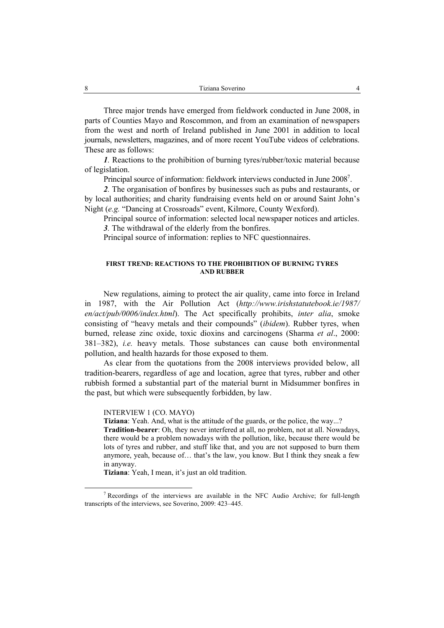Three major trends have emerged from fieldwork conducted in June 2008, in parts of Counties Mayo and Roscommon, and from an examination of newspapers from the west and north of Ireland published in June 2001 in addition to local journals, newsletters, magazines, and of more recent YouTube videos of celebrations. These are as follows:

*1.* Reactions to the prohibition of burning tyres/rubber/toxic material because of legislation.

Principal source of information: fieldwork interviews conducted in June 2008<sup>7</sup>.

*2.* The organisation of bonfires by businesses such as pubs and restaurants, or by local authorities; and charity fundraising events held on or around Saint John's Night (*e.g.* "Dancing at Crossroads" event, Kilmore, County Wexford).

Principal source of information: selected local newspaper notices and articles. *3.* The withdrawal of the elderly from the bonfires.

Principal source of information: replies to NFC questionnaires.

### **FIRST TREND: REACTIONS TO THE PROHIBITION OF BURNING TYRES AND RUBBER**

New regulations, aiming to protect the air quality, came into force in Ireland in 1987, with the Air Pollution Act (*http://www.irishstatutebook.ie/1987/ en/act/pub/0006/index.html*). The Act specifically prohibits, *inter alia*, smoke consisting of "heavy metals and their compounds" (*ibidem*). Rubber tyres, when burned, release zinc oxide, toxic dioxins and carcinogens (Sharma *et al*., 2000: 381–382), *i.e.* heavy metals. Those substances can cause both environmental pollution, and health hazards for those exposed to them.

As clear from the quotations from the 2008 interviews provided below, all tradition-bearers, regardless of age and location, agree that tyres, rubber and other rubbish formed a substantial part of the material burnt in Midsummer bonfires in the past, but which were subsequently forbidden, by law.

INTERVIEW 1 (CO. MAYO)

**Tiziana**: Yeah. And, what is the attitude of the guards, or the police, the way...?

**Tradition-bearer**: Oh, they never interfered at all, no problem, not at all. Nowadays, there would be a problem nowadays with the pollution, like, because there would be lots of tyres and rubber, and stuff like that, and you are not supposed to burn them anymore, yeah, because of… that's the law, you know. But I think they sneak a few in anyway.

**Tiziana**: Yeah, I mean, it's just an old tradition.

 <sup>7</sup> Recordings of the interviews are available in the NFC Audio Archive; for full-length transcripts of the interviews, see Soverino, 2009: 423–445.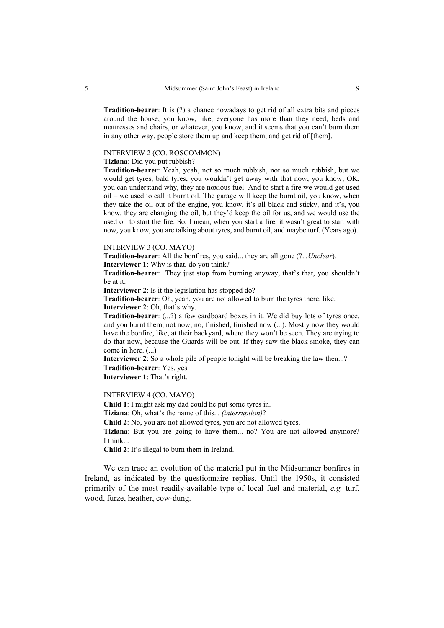**Tradition-bearer**: It is (?) a chance nowadays to get rid of all extra bits and pieces around the house, you know, like, everyone has more than they need, beds and mattresses and chairs, or whatever, you know, and it seems that you can't burn them in any other way, people store them up and keep them, and get rid of [them].

#### INTERVIEW 2 (CO. ROSCOMMON)

# **Tiziana**: Did you put rubbish?

**Tradition-bearer**: Yeah, yeah, not so much rubbish, not so much rubbish, but we would get tyres, bald tyres, you wouldn't get away with that now, you know; OK, you can understand why, they are noxious fuel. And to start a fire we would get used oil – we used to call it burnt oil. The garage will keep the burnt oil, you know, when they take the oil out of the engine, you know, it's all black and sticky, and it's, you know, they are changing the oil, but they'd keep the oil for us, and we would use the used oil to start the fire. So, I mean, when you start a fire, it wasn't great to start with now, you know, you are talking about tyres, and burnt oil, and maybe turf. (Years ago).

#### INTERVIEW 3 (CO. MAYO)

**Tradition-bearer**: All the bonfires, you said... they are all gone (?..*.Unclear*).

**Interviewer 1**: Why is that, do you think?

**Tradition-bearer**: They just stop from burning anyway, that's that, you shouldn't be at it.

**Interviewer 2**: Is it the legislation has stopped do?

**Tradition-bearer**: Oh, yeah, you are not allowed to burn the tyres there, like. **Interviewer 2**: Oh, that's why.

**Tradition-bearer**: (...?) a few cardboard boxes in it. We did buy lots of tyres once, and you burnt them, not now, no, finished, finished now (...). Mostly now they would have the bonfire, like, at their backyard, where they won't be seen. They are trying to do that now, because the Guards will be out. If they saw the black smoke, they can come in here. (...)

**Interviewer 2**: So a whole pile of people tonight will be breaking the law then...? **Tradition-bearer**: Yes, yes.

**Interviewer 1**: That's right.

### INTERVIEW 4 (CO. MAYO)

**Child 1**: I might ask my dad could he put some tyres in.

**Tiziana**: Oh, what's the name of this... *(interruption)*?

**Child 2**: No, you are not allowed tyres, you are not allowed tyres.

**Tiziana**: But you are going to have them... no? You are not allowed anymore? I think...

**Child 2**: It's illegal to burn them in Ireland.

We can trace an evolution of the material put in the Midsummer bonfires in Ireland, as indicated by the questionnaire replies. Until the 1950s, it consisted primarily of the most readily-available type of local fuel and material, *e.g.* turf, wood, furze, heather, cow-dung.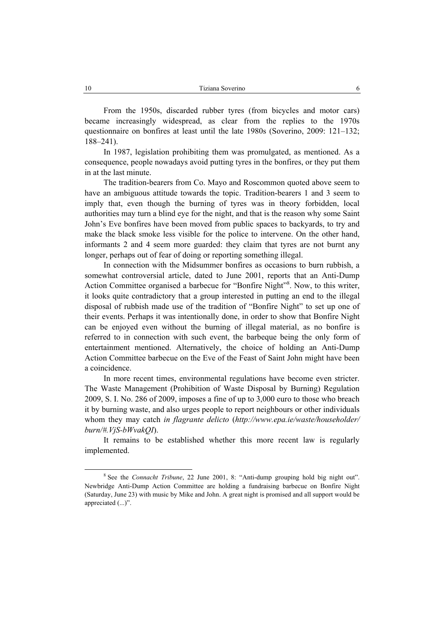From the 1950s, discarded rubber tyres (from bicycles and motor cars) became increasingly widespread, as clear from the replies to the 1970s questionnaire on bonfires at least until the late 1980s (Soverino, 2009: 121–132; 188–241).

In 1987, legislation prohibiting them was promulgated, as mentioned. As a consequence, people nowadays avoid putting tyres in the bonfires, or they put them in at the last minute.

The tradition-bearers from Co. Mayo and Roscommon quoted above seem to have an ambiguous attitude towards the topic. Tradition-bearers 1 and 3 seem to imply that, even though the burning of tyres was in theory forbidden, local authorities may turn a blind eye for the night, and that is the reason why some Saint John's Eve bonfires have been moved from public spaces to backyards, to try and make the black smoke less visible for the police to intervene. On the other hand, informants 2 and 4 seem more guarded: they claim that tyres are not burnt any longer, perhaps out of fear of doing or reporting something illegal.

In connection with the Midsummer bonfires as occasions to burn rubbish, a somewhat controversial article, dated to June 2001, reports that an Anti-Dump Action Committee organised a barbecue for "Bonfire Night"<sup>8</sup>. Now, to this writer, it looks quite contradictory that a group interested in putting an end to the illegal disposal of rubbish made use of the tradition of "Bonfire Night" to set up one of their events. Perhaps it was intentionally done, in order to show that Bonfire Night can be enjoyed even without the burning of illegal material, as no bonfire is referred to in connection with such event, the barbeque being the only form of entertainment mentioned. Alternatively, the choice of holding an Anti-Dump Action Committee barbecue on the Eve of the Feast of Saint John might have been a coincidence.

In more recent times, environmental regulations have become even stricter. The Waste Management (Prohibition of Waste Disposal by Burning) Regulation 2009, S. I. No. 286 of 2009, imposes a fine of up to 3,000 euro to those who breach it by burning waste, and also urges people to report neighbours or other individuals whom they may catch *in flagrante delicto* (*http://www.epa.ie/waste/householder/ burn/#.VjS-bWvakQI*).

It remains to be established whether this more recent law is regularly implemented.

<sup>&</sup>lt;sup>8</sup> See the *Connacht Tribune*, 22 June 2001, 8: "Anti-dump grouping hold big night out". Newbridge Anti-Dump Action Committee are holding a fundraising barbecue on Bonfire Night (Saturday, June 23) with music by Mike and John. A great night is promised and all support would be appreciated (...)".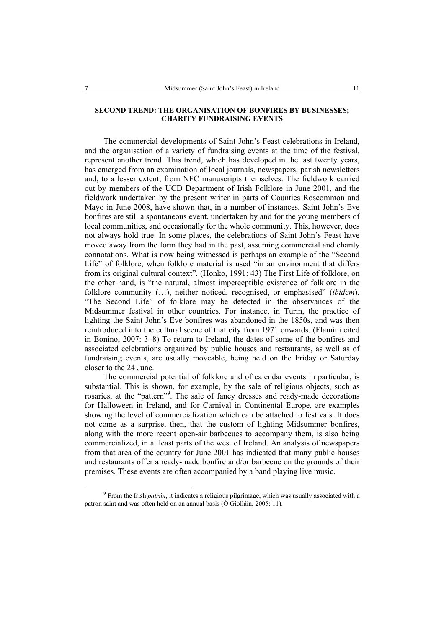# **SECOND TREND: THE ORGANISATION OF BONFIRES BY BUSINESSES; CHARITY FUNDRAISING EVENTS**

The commercial developments of Saint John's Feast celebrations in Ireland, and the organisation of a variety of fundraising events at the time of the festival, represent another trend. This trend, which has developed in the last twenty years, has emerged from an examination of local journals, newspapers, parish newsletters and, to a lesser extent, from NFC manuscripts themselves. The fieldwork carried out by members of the UCD Department of Irish Folklore in June 2001, and the fieldwork undertaken by the present writer in parts of Counties Roscommon and Mayo in June 2008, have shown that, in a number of instances, Saint John's Eve bonfires are still a spontaneous event, undertaken by and for the young members of local communities, and occasionally for the whole community. This, however, does not always hold true. In some places, the celebrations of Saint John's Feast have moved away from the form they had in the past, assuming commercial and charity connotations. What is now being witnessed is perhaps an example of the "Second Life" of folklore, when folklore material is used "in an environment that differs from its original cultural context". (Honko, 1991: 43) The First Life of folklore, on the other hand, is "the natural, almost imperceptible existence of folklore in the folklore community (…), neither noticed, recognised, or emphasised" (*ibidem*). "The Second Life" of folklore may be detected in the observances of the Midsummer festival in other countries. For instance, in Turin, the practice of lighting the Saint John's Eve bonfires was abandoned in the 1850s, and was then reintroduced into the cultural scene of that city from 1971 onwards. (Flamini cited in Bonino, 2007: 3–8) To return to Ireland, the dates of some of the bonfires and associated celebrations organized by public houses and restaurants, as well as of fundraising events, are usually moveable, being held on the Friday or Saturday closer to the 24 June.

The commercial potential of folklore and of calendar events in particular, is substantial. This is shown, for example, by the sale of religious objects, such as rosaries, at the "pattern"<sup>9</sup>. The sale of fancy dresses and ready-made decorations for Halloween in Ireland, and for Carnival in Continental Europe, are examples showing the level of commercialization which can be attached to festivals. It does not come as a surprise, then, that the custom of lighting Midsummer bonfires, along with the more recent open-air barbecues to accompany them, is also being commercialized, in at least parts of the west of Ireland. An analysis of newspapers from that area of the country for June 2001 has indicated that many public houses and restaurants offer a ready-made bonfire and/or barbecue on the grounds of their premises. These events are often accompanied by a band playing live music.

<sup>&</sup>lt;sup>9</sup> From the Irish *patrún*, it indicates a religious pilgrimage, which was usually associated with a patron saint and was often held on an annual basis (Ó Giolláin, 2005: 11).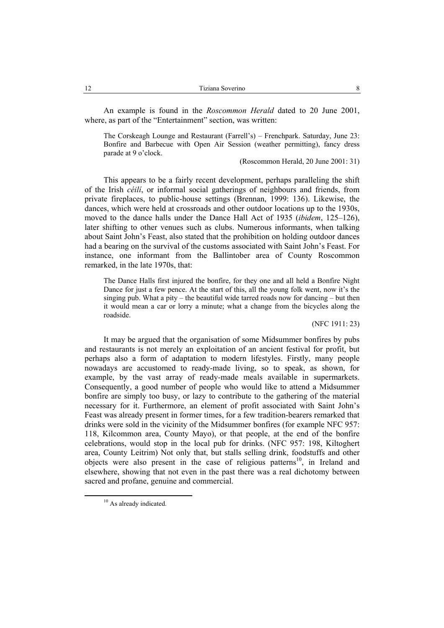An example is found in the *Roscommon Herald* dated to 20 June 2001, where, as part of the "Entertainment" section, was written:

The Corskeagh Lounge and Restaurant (Farrell's) – Frenchpark. Saturday, June 23: Bonfire and Barbecue with Open Air Session (weather permitting), fancy dress parade at 9 o'clock.

(Roscommon Herald, 20 June 2001: 31)

This appears to be a fairly recent development, perhaps paralleling the shift of the Irish *céilí*, or informal social gatherings of neighbours and friends, from private fireplaces, to public-house settings (Brennan, 1999: 136). Likewise, the dances, which were held at crossroads and other outdoor locations up to the 1930s, moved to the dance halls under the Dance Hall Act of 1935 (*ibidem*, 125–126), later shifting to other venues such as clubs. Numerous informants, when talking about Saint John's Feast, also stated that the prohibition on holding outdoor dances had a bearing on the survival of the customs associated with Saint John's Feast. For instance, one informant from the Ballintober area of County Roscommon remarked, in the late 1970s, that:

The Dance Halls first injured the bonfire, for they one and all held a Bonfire Night Dance for just a few pence. At the start of this, all the young folk went, now it's the singing pub. What a pity – the beautiful wide tarred roads now for dancing – but then it would mean a car or lorry a minute; what a change from the bicycles along the roadside.

(NFC 1911: 23)

It may be argued that the organisation of some Midsummer bonfires by pubs and restaurants is not merely an exploitation of an ancient festival for profit, but perhaps also a form of adaptation to modern lifestyles. Firstly, many people nowadays are accustomed to ready-made living, so to speak, as shown, for example, by the vast array of ready-made meals available in supermarkets. Consequently, a good number of people who would like to attend a Midsummer bonfire are simply too busy, or lazy to contribute to the gathering of the material necessary for it. Furthermore, an element of profit associated with Saint John's Feast was already present in former times, for a few tradition-bearers remarked that drinks were sold in the vicinity of the Midsummer bonfires (for example NFC 957: 118, Kilcommon area, County Mayo), or that people, at the end of the bonfire celebrations, would stop in the local pub for drinks. (NFC 957: 198, Kiltoghert area, County Leitrim) Not only that, but stalls selling drink, foodstuffs and other objects were also present in the case of religious patterns<sup>10</sup>, in Ireland and elsewhere, showing that not even in the past there was a real dichotomy between sacred and profane, genuine and commercial.

<sup>&</sup>lt;sup>10</sup> As already indicated.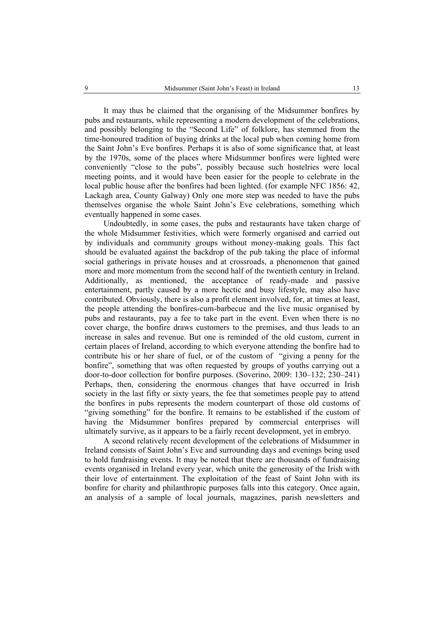It may thus be claimed that the organising of the Midsummer bonfires by pubs and restaurants, while representing a modern development of the celebrations, and possibly belonging to the "Second Life" of folklore, has stemmed from the time-honoured tradition of buying drinks at the local pub when coming home from the Saint John's Eve bonfires. Perhaps it is also of some significance that, at least by the 1970s, some of the places where Midsummer bonfires were lighted were conveniently "close to the pubs", possibly because such hostelries were local meeting points, and it would have been easier for the people to celebrate in the local public house after the bonfires had been lighted. (for example NFC 1856: 42, Lackagh area, County Galway) Only one more step was needed to have the pubs themselves organise the whole Saint John's Eve celebrations, something which eventually happened in some cases.

Undoubtedly, in some cases, the pubs and restaurants have taken charge of the whole Midsummer festivities, which were formerly organised and carried out by individuals and community groups without money-making goals. This fact should be evaluated against the backdrop of the pub taking the place of informal social gatherings in private houses and at crossroads, a phenomenon that gained more and more momentum from the second half of the twentieth century in Ireland. Additionally, as mentioned, the acceptance of ready-made and passive entertainment, partly caused by a more hectic and busy lifestyle, may also have contributed. Obviously, there is also a profit element involved, for, at times at least, the people attending the bonfires-cum-barbecue and the live music organised by pubs and restaurants, pay a fee to take part in the event. Even when there is no cover charge, the bonfire draws customers to the premises, and thus leads to an increase in sales and revenue. But one is reminded of the old custom, current in certain places of Ireland, according to which everyone attending the bonfire had to contribute his or her share of fuel, or of the custom of "giving a penny for the bonfire", something that was often requested by groups of youths carrying out a door-to-door collection for bonfire purposes. (Soverino, 2009: 130–132; 230–241) Perhaps, then, considering the enormous changes that have occurred in Irish society in the last fifty or sixty years, the fee that sometimes people pay to attend the bonfires in pubs represents the modern counterpart of those old customs of "giving something" for the bonfire. It remains to be established if the custom of having the Midsummer bonfires prepared by commercial enterprises will ultimately survive, as it appears to be a fairly recent development, yet in embryo.

A second relatively recent development of the celebrations of Midsummer in Ireland consists of Saint John's Eve and surrounding days and evenings being used to hold fundraising events. It may be noted that there are thousands of fundraising events organised in Ireland every year, which unite the generosity of the Irish with their love of entertainment. The exploitation of the feast of Saint John with its bonfire for charity and philanthropic purposes falls into this category. Once again, an analysis of a sample of local journals, magazines, parish newsletters and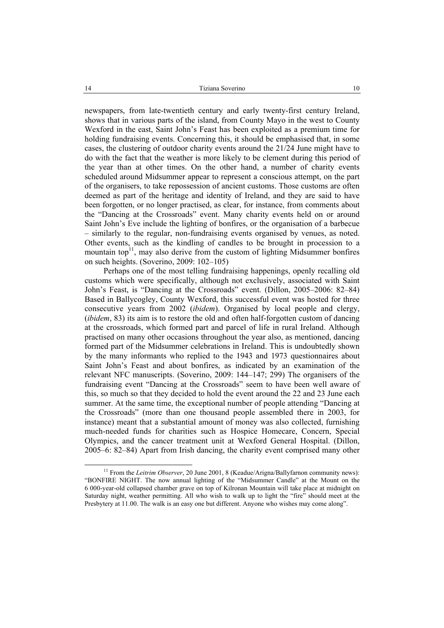newspapers, from late-twentieth century and early twenty-first century Ireland, shows that in various parts of the island, from County Mayo in the west to County Wexford in the east, Saint John's Feast has been exploited as a premium time for holding fundraising events. Concerning this, it should be emphasised that, in some cases, the clustering of outdoor charity events around the 21/24 June might have to do with the fact that the weather is more likely to be clement during this period of the year than at other times. On the other hand, a number of charity events scheduled around Midsummer appear to represent a conscious attempt, on the part of the organisers, to take repossession of ancient customs. Those customs are often deemed as part of the heritage and identity of Ireland, and they are said to have been forgotten, or no longer practised, as clear, for instance, from comments about the "Dancing at the Crossroads" event. Many charity events held on or around Saint John's Eve include the lighting of bonfires, or the organisation of a barbecue – similarly to the regular, non-fundraising events organised by venues, as noted. Other events, such as the kindling of candles to be brought in procession to a mountain top<sup>11</sup>, may also derive from the custom of lighting Midsummer bonfires on such heights. (Soverino, 2009: 102–105)

Perhaps one of the most telling fundraising happenings, openly recalling old customs which were specifically, although not exclusively, associated with Saint John's Feast, is "Dancing at the Crossroads" event. (Dillon, 2005–2006: 82–84) Based in Ballycogley, County Wexford, this successful event was hosted for three consecutive years from 2002 (*ibidem*). Organised by local people and clergy, (*ibidem*, 83) its aim is to restore the old and often half-forgotten custom of dancing at the crossroads, which formed part and parcel of life in rural Ireland. Although practised on many other occasions throughout the year also, as mentioned, dancing formed part of the Midsummer celebrations in Ireland. This is undoubtedly shown by the many informants who replied to the 1943 and 1973 questionnaires about Saint John's Feast and about bonfires, as indicated by an examination of the relevant NFC manuscripts. (Soverino, 2009: 144–147; 299) The organisers of the fundraising event "Dancing at the Crossroads" seem to have been well aware of this, so much so that they decided to hold the event around the 22 and 23 June each summer. At the same time, the exceptional number of people attending "Dancing at the Crossroads" (more than one thousand people assembled there in 2003, for instance) meant that a substantial amount of money was also collected, furnishing much-needed funds for charities such as Hospice Homecare, Concern, Special Olympics, and the cancer treatment unit at Wexford General Hospital. (Dillon, 2005–6: 82–84) Apart from Irish dancing, the charity event comprised many other

<sup>&</sup>lt;sup>11</sup> From the *Leitrim Observer*, 20 June 2001, 8 (Keadue/Arigna/Ballyfarnon community news): "BONFIRE NIGHT. The now annual lighting of the "Midsummer Candle" at the Mount on the 6 000-year-old collapsed chamber grave on top of Kilronan Mountain will take place at midnight on Saturday night, weather permitting. All who wish to walk up to light the "fire" should meet at the Presbytery at 11.00. The walk is an easy one but different. Anyone who wishes may come along".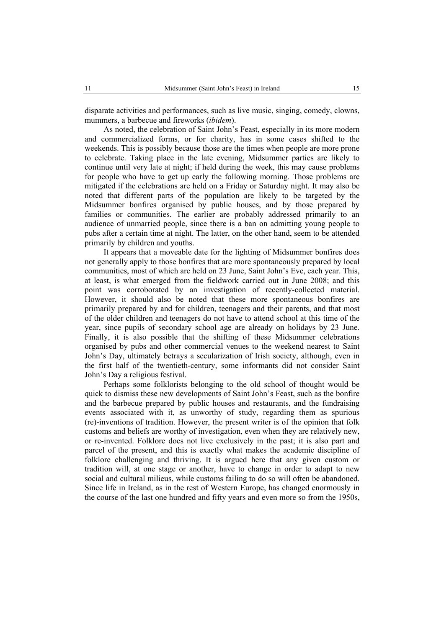disparate activities and performances, such as live music, singing, comedy, clowns, mummers, a barbecue and fireworks (*ibidem*).

As noted, the celebration of Saint John's Feast, especially in its more modern and commercialized forms, or for charity, has in some cases shifted to the weekends. This is possibly because those are the times when people are more prone to celebrate. Taking place in the late evening, Midsummer parties are likely to continue until very late at night; if held during the week, this may cause problems for people who have to get up early the following morning. Those problems are mitigated if the celebrations are held on a Friday or Saturday night. It may also be noted that different parts of the population are likely to be targeted by the Midsummer bonfires organised by public houses, and by those prepared by families or communities. The earlier are probably addressed primarily to an audience of unmarried people, since there is a ban on admitting young people to pubs after a certain time at night. The latter, on the other hand, seem to be attended primarily by children and youths.

It appears that a moveable date for the lighting of Midsummer bonfires does not generally apply to those bonfires that are more spontaneously prepared by local communities, most of which are held on 23 June, Saint John's Eve, each year. This, at least, is what emerged from the fieldwork carried out in June 2008; and this point was corroborated by an investigation of recently-collected material. However, it should also be noted that these more spontaneous bonfires are primarily prepared by and for children, teenagers and their parents, and that most of the older children and teenagers do not have to attend school at this time of the year, since pupils of secondary school age are already on holidays by 23 June. Finally, it is also possible that the shifting of these Midsummer celebrations organised by pubs and other commercial venues to the weekend nearest to Saint John's Day, ultimately betrays a secularization of Irish society, although, even in the first half of the twentieth-century, some informants did not consider Saint John's Day a religious festival.

Perhaps some folklorists belonging to the old school of thought would be quick to dismiss these new developments of Saint John's Feast, such as the bonfire and the barbecue prepared by public houses and restaurants, and the fundraising events associated with it, as unworthy of study, regarding them as spurious (re)-inventions of tradition. However, the present writer is of the opinion that folk customs and beliefs are worthy of investigation, even when they are relatively new, or re-invented. Folklore does not live exclusively in the past; it is also part and parcel of the present, and this is exactly what makes the academic discipline of folklore challenging and thriving. It is argued here that any given custom or tradition will, at one stage or another, have to change in order to adapt to new social and cultural milieus, while customs failing to do so will often be abandoned. Since life in Ireland, as in the rest of Western Europe, has changed enormously in the course of the last one hundred and fifty years and even more so from the 1950s,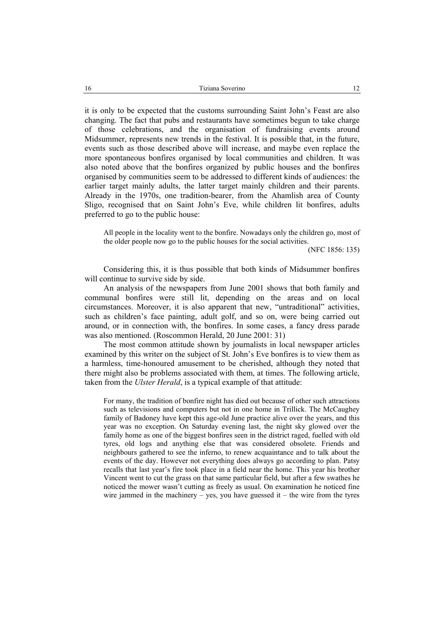it is only to be expected that the customs surrounding Saint John's Feast are also changing. The fact that pubs and restaurants have sometimes begun to take charge of those celebrations, and the organisation of fundraising events around Midsummer, represents new trends in the festival. It is possible that, in the future, events such as those described above will increase, and maybe even replace the more spontaneous bonfires organised by local communities and children. It was also noted above that the bonfires organized by public houses and the bonfires organised by communities seem to be addressed to different kinds of audiences: the earlier target mainly adults, the latter target mainly children and their parents. Already in the 1970s, one tradition-bearer, from the Ahamlish area of County Sligo, recognised that on Saint John's Eve, while children lit bonfires, adults preferred to go to the public house:

All people in the locality went to the bonfire. Nowadays only the children go, most of the older people now go to the public houses for the social activities.

(NFC 1856: 135)

Considering this, it is thus possible that both kinds of Midsummer bonfires will continue to survive side by side.

An analysis of the newspapers from June 2001 shows that both family and communal bonfires were still lit, depending on the areas and on local circumstances. Moreover, it is also apparent that new, "untraditional" activities, such as children's face painting, adult golf, and so on, were being carried out around, or in connection with, the bonfires. In some cases, a fancy dress parade was also mentioned. (Roscommon Herald, 20 June 2001: 31)

The most common attitude shown by journalists in local newspaper articles examined by this writer on the subject of St. John's Eve bonfires is to view them as a harmless, time-honoured amusement to be cherished, although they noted that there might also be problems associated with them, at times. The following article, taken from the *Ulster Herald*, is a typical example of that attitude:

For many, the tradition of bonfire night has died out because of other such attractions such as televisions and computers but not in one home in Trillick. The McCaughey family of Badoney have kept this age-old June practice alive over the years, and this year was no exception. On Saturday evening last, the night sky glowed over the family home as one of the biggest bonfires seen in the district raged, fuelled with old tyres, old logs and anything else that was considered obsolete. Friends and neighbours gathered to see the inferno, to renew acquaintance and to talk about the events of the day. However not everything does always go according to plan. Patsy recalls that last year's fire took place in a field near the home. This year his brother Vincent went to cut the grass on that same particular field, but after a few swathes he noticed the mower wasn't cutting as freely as usual. On examination he noticed fine wire jammed in the machinery – yes, you have guessed it – the wire from the tyres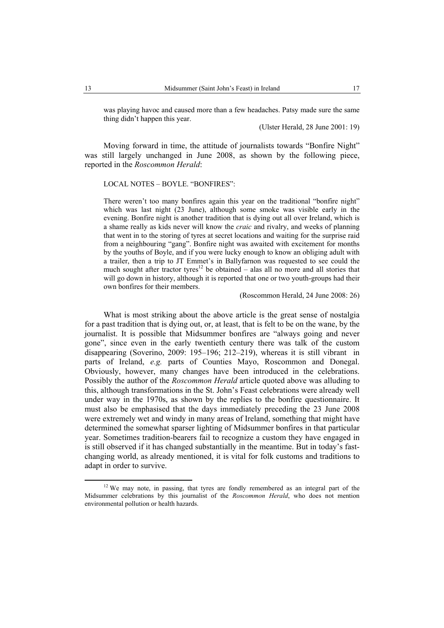was playing havoc and caused more than a few headaches. Patsy made sure the same thing didn't happen this year.

(Ulster Herald, 28 June 2001: 19)

Moving forward in time, the attitude of journalists towards "Bonfire Night" was still largely unchanged in June 2008, as shown by the following piece, reported in the *Roscommon Herald*:

LOCAL NOTES – BOYLE. "BONFIRES":

There weren't too many bonfires again this year on the traditional "bonfire night" which was last night (23 June), although some smoke was visible early in the evening. Bonfire night is another tradition that is dying out all over Ireland, which is a shame really as kids never will know the *craic* and rivalry, and weeks of planning that went in to the storing of tyres at secret locations and waiting for the surprise raid from a neighbouring "gang". Bonfire night was awaited with excitement for months by the youths of Boyle, and if you were lucky enough to know an obliging adult with a trailer, then a trip to JT Emmet's in Ballyfarnon was requested to see could the much sought after tractor tyres<sup>12</sup> be obtained – alas all no more and all stories that will go down in history, although it is reported that one or two youth-groups had their own bonfires for their members.

(Roscommon Herald, 24 June 2008: 26)

What is most striking about the above article is the great sense of nostalgia for a past tradition that is dying out, or, at least, that is felt to be on the wane, by the journalist. It is possible that Midsummer bonfires are "always going and never gone", since even in the early twentieth century there was talk of the custom disappearing (Soverino, 2009: 195–196; 212–219), whereas it is still vibrant in parts of Ireland, *e.g.* parts of Counties Mayo, Roscommon and Donegal. Obviously, however, many changes have been introduced in the celebrations. Possibly the author of the *Roscommon Herald* article quoted above was alluding to this, although transformations in the St. John's Feast celebrations were already well under way in the 1970s, as shown by the replies to the bonfire questionnaire. It must also be emphasised that the days immediately preceding the 23 June 2008 were extremely wet and windy in many areas of Ireland, something that might have determined the somewhat sparser lighting of Midsummer bonfires in that particular year. Sometimes tradition-bearers fail to recognize a custom they have engaged in is still observed if it has changed substantially in the meantime. But in today's fastchanging world, as already mentioned, it is vital for folk customs and traditions to adapt in order to survive.

 $12$  We may note, in passing, that tyres are fondly remembered as an integral part of the Midsummer celebrations by this journalist of the *Roscommon Herald*, who does not mention environmental pollution or health hazards.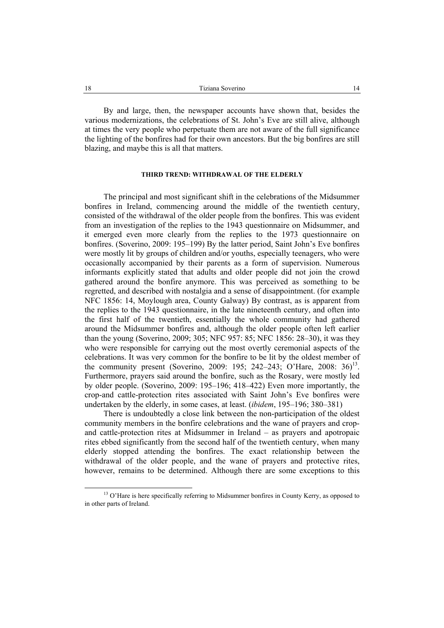By and large, then, the newspaper accounts have shown that, besides the various modernizations, the celebrations of St. John's Eve are still alive, although at times the very people who perpetuate them are not aware of the full significance the lighting of the bonfires had for their own ancestors. But the big bonfires are still blazing, and maybe this is all that matters.

### **THIRD TREND: WITHDRAWAL OF THE ELDERLY**

The principal and most significant shift in the celebrations of the Midsummer bonfires in Ireland, commencing around the middle of the twentieth century, consisted of the withdrawal of the older people from the bonfires. This was evident from an investigation of the replies to the 1943 questionnaire on Midsummer, and it emerged even more clearly from the replies to the 1973 questionnaire on bonfires. (Soverino, 2009: 195–199) By the latter period, Saint John's Eve bonfires were mostly lit by groups of children and/or youths, especially teenagers, who were occasionally accompanied by their parents as a form of supervision. Numerous informants explicitly stated that adults and older people did not join the crowd gathered around the bonfire anymore. This was perceived as something to be regretted, and described with nostalgia and a sense of disappointment. (for example NFC 1856: 14, Moylough area, County Galway) By contrast, as is apparent from the replies to the 1943 questionnaire, in the late nineteenth century, and often into the first half of the twentieth, essentially the whole community had gathered around the Midsummer bonfires and, although the older people often left earlier than the young (Soverino, 2009; 305; NFC 957: 85; NFC 1856: 28–30), it was they who were responsible for carrying out the most overtly ceremonial aspects of the celebrations. It was very common for the bonfire to be lit by the oldest member of the community present (Soverino, 2009: 195; 242–243; O'Hare, 2008: 36)<sup>13</sup>. Furthermore, prayers said around the bonfire, such as the Rosary, were mostly led by older people. (Soverino, 2009: 195–196; 418–422) Even more importantly, the crop-and cattle-protection rites associated with Saint John's Eve bonfires were undertaken by the elderly, in some cases, at least. (*ibidem*, 195–196; 380–381)

There is undoubtedly a close link between the non-participation of the oldest community members in the bonfire celebrations and the wane of prayers and cropand cattle-protection rites at Midsummer in Ireland – as prayers and apotropaic rites ebbed significantly from the second half of the twentieth century, when many elderly stopped attending the bonfires. The exact relationship between the withdrawal of the older people, and the wane of prayers and protective rites, however, remains to be determined. Although there are some exceptions to this

<sup>&</sup>lt;sup>13</sup> O'Hare is here specifically referring to Midsummer bonfires in County Kerry, as opposed to in other parts of Ireland.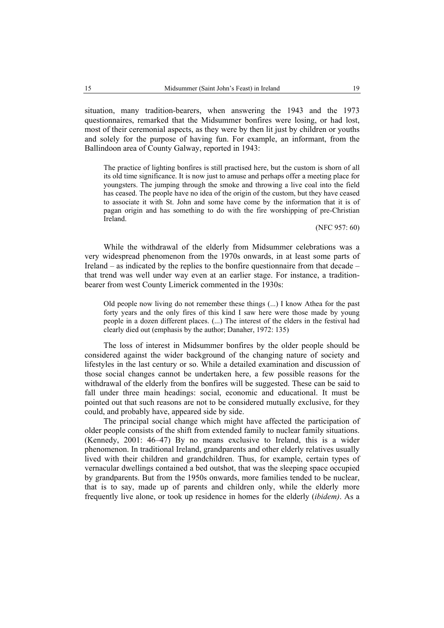situation, many tradition-bearers, when answering the 1943 and the 1973 questionnaires, remarked that the Midsummer bonfires were losing, or had lost, most of their ceremonial aspects, as they were by then lit just by children or youths and solely for the purpose of having fun. For example, an informant, from the Ballindoon area of County Galway, reported in 1943:

The practice of lighting bonfires is still practised here, but the custom is shorn of all its old time significance. It is now just to amuse and perhaps offer a meeting place for youngsters. The jumping through the smoke and throwing a live coal into the field has ceased. The people have no idea of the origin of the custom, but they have ceased to associate it with St. John and some have come by the information that it is of pagan origin and has something to do with the fire worshipping of pre-Christian Ireland.

(NFC 957: 60)

While the withdrawal of the elderly from Midsummer celebrations was a very widespread phenomenon from the 1970s onwards, in at least some parts of Ireland – as indicated by the replies to the bonfire questionnaire from that decade – that trend was well under way even at an earlier stage. For instance, a traditionbearer from west County Limerick commented in the 1930s:

Old people now living do not remember these things (...) I know Athea for the past forty years and the only fires of this kind I saw here were those made by young people in a dozen different places. (...) The interest of the elders in the festival had clearly died out (emphasis by the author; Danaher, 1972: 135)

The loss of interest in Midsummer bonfires by the older people should be considered against the wider background of the changing nature of society and lifestyles in the last century or so. While a detailed examination and discussion of those social changes cannot be undertaken here, a few possible reasons for the withdrawal of the elderly from the bonfires will be suggested. These can be said to fall under three main headings: social, economic and educational. It must be pointed out that such reasons are not to be considered mutually exclusive, for they could, and probably have, appeared side by side.

The principal social change which might have affected the participation of older people consists of the shift from extended family to nuclear family situations. (Kennedy, 2001: 46–47) By no means exclusive to Ireland, this is a wider phenomenon. In traditional Ireland, grandparents and other elderly relatives usually lived with their children and grandchildren. Thus, for example, certain types of vernacular dwellings contained a bed outshot, that was the sleeping space occupied by grandparents. But from the 1950s onwards, more families tended to be nuclear, that is to say, made up of parents and children only, while the elderly more frequently live alone, or took up residence in homes for the elderly (*ibidem)*. As a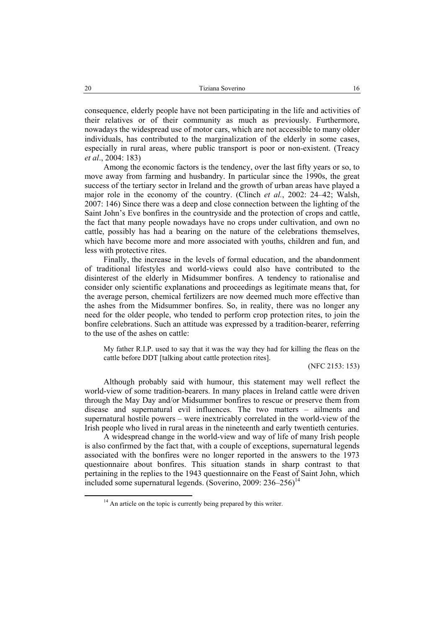consequence, elderly people have not been participating in the life and activities of their relatives or of their community as much as previously. Furthermore, nowadays the widespread use of motor cars, which are not accessible to many older individuals, has contributed to the marginalization of the elderly in some cases, especially in rural areas, where public transport is poor or non-existent. (Treacy *et al*., 2004: 183)

Among the economic factors is the tendency, over the last fifty years or so, to move away from farming and husbandry. In particular since the 1990s, the great success of the tertiary sector in Ireland and the growth of urban areas have played a major role in the economy of the country. (Clinch *et al.*, 2002: 24–42; Walsh, 2007: 146) Since there was a deep and close connection between the lighting of the Saint John's Eve bonfires in the countryside and the protection of crops and cattle, the fact that many people nowadays have no crops under cultivation, and own no cattle, possibly has had a bearing on the nature of the celebrations themselves, which have become more and more associated with youths, children and fun, and less with protective rites.

Finally, the increase in the levels of formal education, and the abandonment of traditional lifestyles and world-views could also have contributed to the disinterest of the elderly in Midsummer bonfires. A tendency to rationalise and consider only scientific explanations and proceedings as legitimate means that, for the average person, chemical fertilizers are now deemed much more effective than the ashes from the Midsummer bonfires. So, in reality, there was no longer any need for the older people, who tended to perform crop protection rites, to join the bonfire celebrations. Such an attitude was expressed by a tradition-bearer, referring to the use of the ashes on cattle:

My father R.I.P. used to say that it was the way they had for killing the fleas on the cattle before DDT [talking about cattle protection rites].

(NFC 2153: 153)

Although probably said with humour, this statement may well reflect the world-view of some tradition-bearers. In many places in Ireland cattle were driven through the May Day and/or Midsummer bonfires to rescue or preserve them from disease and supernatural evil influences. The two matters – ailments and supernatural hostile powers – were inextricably correlated in the world-view of the Irish people who lived in rural areas in the nineteenth and early twentieth centuries.

A widespread change in the world-view and way of life of many Irish people is also confirmed by the fact that, with a couple of exceptions, supernatural legends associated with the bonfires were no longer reported in the answers to the 1973 questionnaire about bonfires. This situation stands in sharp contrast to that pertaining in the replies to the 1943 questionnaire on the Feast of Saint John, which included some supernatural legends. (Soverino, 2009:  $236-256$ )<sup>14</sup>

 $14$  An article on the topic is currently being prepared by this writer.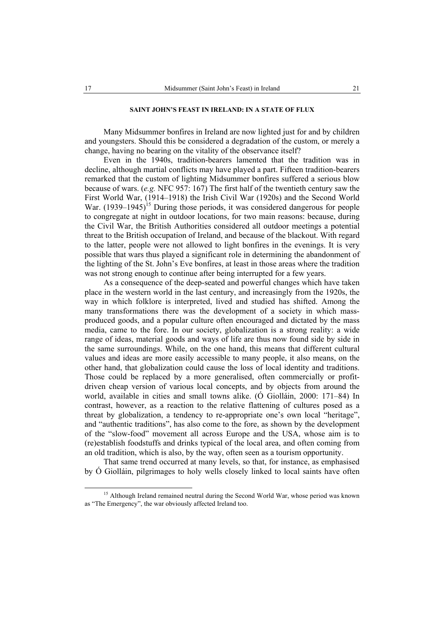# **SAINT JOHN'S FEAST IN IRELAND: IN A STATE OF FLUX**

Many Midsummer bonfires in Ireland are now lighted just for and by children and youngsters. Should this be considered a degradation of the custom, or merely a change, having no bearing on the vitality of the observance itself?

Even in the 1940s, tradition-bearers lamented that the tradition was in decline, although martial conflicts may have played a part. Fifteen tradition-bearers remarked that the custom of lighting Midsummer bonfires suffered a serious blow because of wars. (*e.g.* NFC 957: 167) The first half of the twentieth century saw the First World War, (1914–1918) the Irish Civil War (1920s) and the Second World War.  $(1939-1945)^{15}$  During those periods, it was considered dangerous for people to congregate at night in outdoor locations, for two main reasons: because, during the Civil War, the British Authorities considered all outdoor meetings a potential threat to the British occupation of Ireland, and because of the blackout. With regard to the latter, people were not allowed to light bonfires in the evenings. It is very possible that wars thus played a significant role in determining the abandonment of the lighting of the St. John's Eve bonfires, at least in those areas where the tradition was not strong enough to continue after being interrupted for a few years.

As a consequence of the deep-seated and powerful changes which have taken place in the western world in the last century, and increasingly from the 1920s, the way in which folklore is interpreted, lived and studied has shifted. Among the many transformations there was the development of a society in which massproduced goods, and a popular culture often encouraged and dictated by the mass media, came to the fore. In our society, globalization is a strong reality: a wide range of ideas, material goods and ways of life are thus now found side by side in the same surroundings. While, on the one hand, this means that different cultural values and ideas are more easily accessible to many people, it also means, on the other hand, that globalization could cause the loss of local identity and traditions. Those could be replaced by a more generalised, often commercially or profitdriven cheap version of various local concepts, and by objects from around the world, available in cities and small towns alike. (Ó Giolláin, 2000: 171–84) In contrast, however, as a reaction to the relative flattening of cultures posed as a threat by globalization, a tendency to re-appropriate one's own local "heritage", and "authentic traditions", has also come to the fore, as shown by the development of the "slow-food" movement all across Europe and the USA, whose aim is to (re)establish foodstuffs and drinks typical of the local area, and often coming from an old tradition, which is also, by the way, often seen as a tourism opportunity.

That same trend occurred at many levels, so that, for instance, as emphasised by Ó Giolláin, pilgrimages to holy wells closely linked to local saints have often

<sup>&</sup>lt;sup>15</sup> Although Ireland remained neutral during the Second World War, whose period was known as "The Emergency", the war obviously affected Ireland too.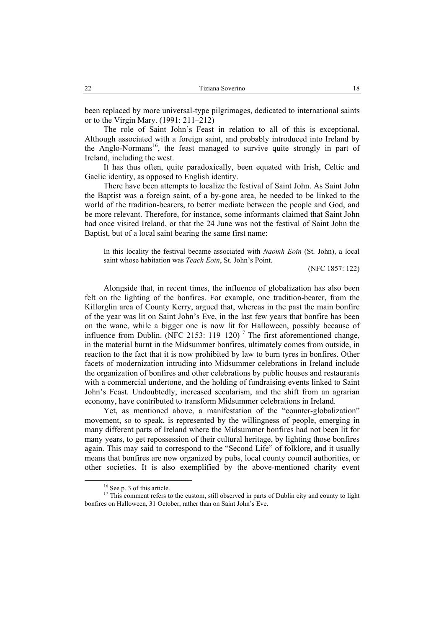been replaced by more universal-type pilgrimages, dedicated to international saints or to the Virgin Mary. (1991: 211–212)

The role of Saint John's Feast in relation to all of this is exceptional. Although associated with a foreign saint, and probably introduced into Ireland by the Anglo-Normans<sup>16</sup>, the feast managed to survive quite strongly in part of Ireland, including the west.

It has thus often, quite paradoxically, been equated with Irish, Celtic and Gaelic identity, as opposed to English identity.

There have been attempts to localize the festival of Saint John. As Saint John the Baptist was a foreign saint, of a by-gone area, he needed to be linked to the world of the tradition-bearers, to better mediate between the people and God, and be more relevant. Therefore, for instance, some informants claimed that Saint John had once visited Ireland, or that the 24 June was not the festival of Saint John the Baptist, but of a local saint bearing the same first name:

In this locality the festival became associated with *Naomh Eoin* (St. John), a local saint whose habitation was *Teach Eoin*, St. John's Point.

(NFC 1857: 122)

Alongside that, in recent times, the influence of globalization has also been felt on the lighting of the bonfires. For example, one tradition-bearer, from the Killorglin area of County Kerry, argued that, whereas in the past the main bonfire of the year was lit on Saint John's Eve, in the last few years that bonfire has been on the wane, while a bigger one is now lit for Halloween, possibly because of influence from Dublin. (NFC 2153:  $119-120$ )<sup>17</sup> The first aforementioned change, in the material burnt in the Midsummer bonfires, ultimately comes from outside, in reaction to the fact that it is now prohibited by law to burn tyres in bonfires. Other facets of modernization intruding into Midsummer celebrations in Ireland include the organization of bonfires and other celebrations by public houses and restaurants with a commercial undertone, and the holding of fundraising events linked to Saint John's Feast. Undoubtedly, increased secularism, and the shift from an agrarian economy, have contributed to transform Midsummer celebrations in Ireland.

Yet, as mentioned above, a manifestation of the "counter-globalization" movement, so to speak, is represented by the willingness of people, emerging in many different parts of Ireland where the Midsummer bonfires had not been lit for many years, to get repossession of their cultural heritage, by lighting those bonfires again. This may said to correspond to the "Second Life" of folklore, and it usually means that bonfires are now organized by pubs, local county council authorities, or other societies. It is also exemplified by the above-mentioned charity event

<sup>&</sup>lt;sup>16</sup> See p. 3 of this article.

<sup>&</sup>lt;sup>17</sup> This comment refers to the custom, still observed in parts of Dublin city and county to light bonfires on Halloween, 31 October, rather than on Saint John's Eve.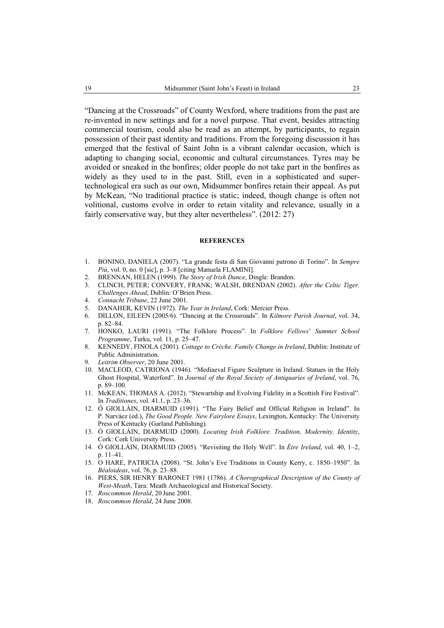"Dancing at the Crossroads" of County Wexford, where traditions from the past are re-invented in new settings and for a novel purpose. That event, besides attracting commercial tourism, could also be read as an attempt, by participants, to regain possession of their past identity and traditions. From the foregoing discussion it has emerged that the festival of Saint John is a vibrant calendar occasion, which is adapting to changing social, economic and cultural circumstances. Tyres may be avoided or sneaked in the bonfires; older people do not take part in the bonfires as widely as they used to in the past. Still, even in a sophisticated and supertechnological era such as our own, Midsummer bonfires retain their appeal. As put by McKean, "No traditional practice is static; indeed, though change is often not volitional, customs evolve in order to retain vitality and relevance, usually in a fairly conservative way, but they alter nevertheless". (2012: 27)

#### **REFERENCES**

- 1. BONINO, DANIELA (2007). "La grande festa di San Giovanni patrono di Torino". In *Sempre Più*, vol. 0, no. 0 [sic], p. 3–8 [citing Manuela FLAMINI].
- 2. BRENNAN, HELEN (1999). *The Story of Irish Dance*, Dingle: Brandon.
- 3. CLINCH, PETER; CONVERY, FRANK; WALSH, BRENDAN (2002). *After the Celtic Tiger. Challenges Ahead*, Dublin: O'Brien Press.
- 4. *Connacht Tribune*, 22 June 2001.
- 5. DANAHER, KEVIN (1972). *The Year in Ireland*, Cork: Mercier Press.
- 6. DILLON, EILEEN (2005/6). "Dancing at the Crossroads". In *Kilmore Parish Journal*, vol. 34, p. 82–84.
- 7. HONKO, LAURI (1991). "The Folklore Process". In *Folklore Fellows*' *Summer School Programme*, Turku, vol. 11, p. 25–47.
- 8. KENNEDY, FINOLA (2001). *Cottage to Crèche. Family Change in Ireland*, Dublin: Institute of Public Administration.
- 9. *Leitrim Observer*, 20 June 2001.
- 10. MACLEOD, CATRIONA (1946). "Mediaeval Figure Sculpture in Ireland. Statues in the Holy Ghost Hospital, Waterford". In *Journal of the Royal Society of Antiquaries of Ireland*, vol. 76, p. 89–100.
- 11. McKEAN, THOMAS A. (2012). "Stewartship and Evolving Fidelity in a Scottish Fire Festival". In *Traditiones*, vol. 41.1, p. 23–36.
- 12. Ó GIOLLÁIN, DIARMUID (1991). "The Fairy Belief and Official Religion in Ireland". In P. Narváez (ed.), *The Good People. New Fairylore Essays*, Lexington, Kentucky: The University Press of Kentucky (Garland Publishing).
- 13. Ó GIOLLÁIN, DIARMUID (2000). *Locating Irish Folklore. Tradition, Modernity, Identity*, Cork: Cork University Press.
- 14. Ó GIOLLÁIN, DIARMUID (2005). "Revisiting the Holy Well". In *Éire Ireland*, vol. 40, 1–2, p. 11–41.
- 15. O HARE, PATRICIA (2008). "St. John's Eve Traditions in County Kerry, c. 1850–1950". In *Béaloideas*, vol. 76, p. 23–88.
- 16. PIERS, SIR HENRY BARONET 1981 (1786). *A Chorographical Description of the County of West-Meath*, Tara: Meath Archaeological and Historical Society.
- 17. *Roscommon Herald*, 20 June 2001.
- 18. *Roscommon Herald*, 24 June 2008.